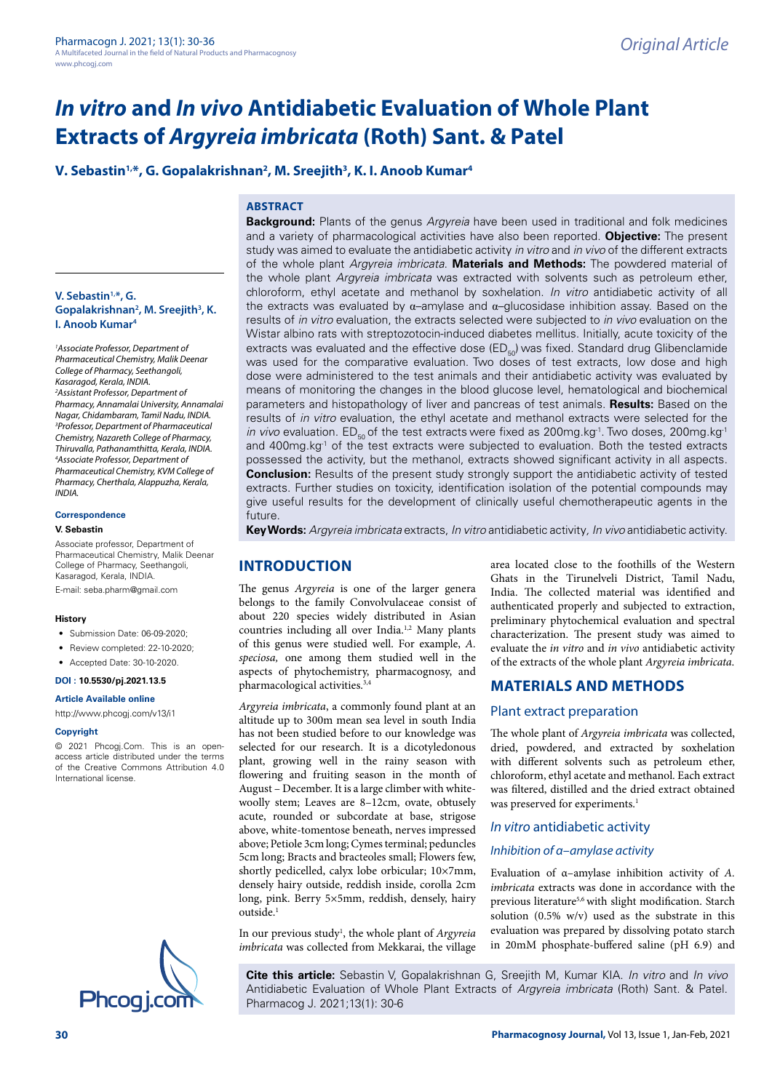# **V. Sebastin<sup>1,\*</sup>, G. Gopalakrishnan<sup>2</sup>, M. Sreejith<sup>3</sup>, K. I. Anoob Kumar<sup>4</sup>**

## **ABSTRACT**

**V. Sebastin1,\*, G.**  Gopalakrishnan<sup>2</sup>, M. Sreejith<sup>3</sup>, K. **I. Anoob Kumar4**

*1 Associate Professor, Department of Pharmaceutical Chemistry, Malik Deenar College of Pharmacy, Seethangoli, Kasaragod, Kerala, INDIA. 2 Assistant Professor, Department of Pharmacy, Annamalai University, Annamalai Nagar, Chidambaram, Tamil Nadu, INDIA. 3 Professor, Department of Pharmaceutical Chemistry, Nazareth College of Pharmacy, Thiruvalla, Pathanamthitta, Kerala, INDIA. 4 Associate Professor, Department of Pharmaceutical Chemistry, KVM College of Pharmacy, Cherthala, Alappuzha, Kerala, INDIA.*

#### **Correspondence**

#### **V. Sebastin**

Associate professor, Department of Pharmaceutical Chemistry, Malik Deenar College of Pharmacy, Seethangoli, Kasaragod, Kerala, INDIA.

E-mail: [seba.pharm@gmail.com](mailto:seba.pharm@gmail.com)

#### **History**

- Submission Date: 06-09-2020;
- Review completed: 22-10-2020:
- Accepted Date: 30-10-2020.

# **DOI : 10.5530/pj.2021.13.5**

**Article Available online** 

<http://www.phcogj.com/v13/i1>

#### **Copyright**

© 2021 Phcogj.Com. This is an openaccess article distributed under the terms of the Creative Commons Attribution 4.0 International license.



**Background:** Plants of the genus *Argyreia* have been used in traditional and folk medicines and a variety of pharmacological activities have also been reported. **Objective:** The present study was aimed to evaluate the antidiabetic activity *in vitro* and *in vivo* of the different extracts of the whole plant *Argyreia imbricata*. **Materials and Methods:** The powdered material of the whole plant *Argyreia imbricata* was extracted with solvents such as petroleum ether, chloroform, ethyl acetate and methanol by soxhelation. *In vitro* antidiabetic activity of all the extracts was evaluated by  $\alpha$ –amylase and  $\alpha$ –glucosidase inhibition assay. Based on the results of *in vitro* evaluation, the extracts selected were subjected to *in vivo* evaluation on the Wistar albino rats with streptozotocin-induced diabetes mellitus. Initially, acute toxicity of the extracts was evaluated and the effective dose ( $ED_{50}$ ) was fixed. Standard drug Glibenclamide was used for the comparative evaluation. Two doses of test extracts, low dose and high dose were administered to the test animals and their antidiabetic activity was evaluated by means of monitoring the changes in the blood glucose level, hematological and biochemical parameters and histopathology of liver and pancreas of test animals. **Results:** Based on the results of *in vitro* evaluation, the ethyl acetate and methanol extracts were selected for the *in vivo* evaluation. ED<sub>50</sub> of the test extracts were fixed as 200mg.kg<sup>-1</sup>. Two doses, 200mg.kg<sup>-1</sup> and 400mg.kg<sup>-1</sup> of the test extracts were subjected to evaluation. Both the tested extracts possessed the activity, but the methanol, extracts showed significant activity in all aspects. **Conclusion:** Results of the present study strongly support the antidiabetic activity of tested extracts. Further studies on toxicity, identification isolation of the potential compounds may give useful results for the development of clinically useful chemotherapeutic agents in the future.

**Key Words:** *Argyreia imbricata* extracts, *In vitro* antidiabetic activity*, In vivo* antidiabetic activity.

## **INTRODUCTION**

The genus *Argyreia* is one of the larger genera belongs to the family Convolvulaceae consist of about 220 species widely distributed in Asian countries including all over India.<sup>1,2</sup> Many plants of this genus were studied well. For example, *A. speciosa,* one among them studied well in the aspects of phytochemistry, pharmacognosy, and pharmacological activities.<sup>3,4</sup>

*Argyreia imbricata*, a commonly found plant at an altitude up to 300m mean sea level in south India has not been studied before to our knowledge was selected for our research. It is a dicotyledonous plant, growing well in the rainy season with flowering and fruiting season in the month of August – December. It is a large climber with whitewoolly stem; Leaves are 8–12cm, ovate, obtusely acute, rounded or subcordate at base, strigose above, white-tomentose beneath, nerves impressed above; Petiole 3cm long; Cymes terminal; peduncles 5cm long; Bracts and bracteoles small; Flowers few, shortly pedicelled, calyx lobe orbicular; 10×7mm, densely hairy outside, reddish inside, corolla 2cm long, pink. Berry 5×5mm, reddish, densely, hairy outside.<sup>1</sup>

In our previous study<sup>1</sup>, the whole plant of *Argyreia imbricata* was collected from Mekkarai, the village

area located close to the foothills of the Western Ghats in the Tirunelveli District, Tamil Nadu, India. The collected material was identified and authenticated properly and subjected to extraction, preliminary phytochemical evaluation and spectral characterization. The present study was aimed to evaluate the *in vitro* and *in vivo* antidiabetic activity of the extracts of the whole plant *Argyreia imbricata*.

### **MATERIALS AND METHODS**

#### Plant extract preparation

The whole plant of *Argyreia imbricata* was collected, dried, powdered, and extracted by soxhelation with different solvents such as petroleum ether, chloroform, ethyl acetate and methanol. Each extract was filtered, distilled and the dried extract obtained was preserved for experiments.<sup>1</sup>

## *In vitro* antidiabetic activity

### *Inhibition of α–amylase activity*

Evaluation of α–amylase inhibition activity of *A. imbricata* extracts was done in accordance with the previous literature<sup>5,6</sup> with slight modification. Starch solution (0.5% w/v) used as the substrate in this evaluation was prepared by dissolving potato starch in 20mM phosphate-buffered saline (pH 6.9) and

**Cite this article:** Sebastin V, Gopalakrishnan G, Sreejith M, Kumar KIA. *In vitro* and *In vivo*  Antidiabetic Evaluation of Whole Plant Extracts of *Argyreia imbricata* (Roth) Sant. & Patel.<br>Ph**COQ i.COM** Pharmacog J. 2021;13(1): 30-6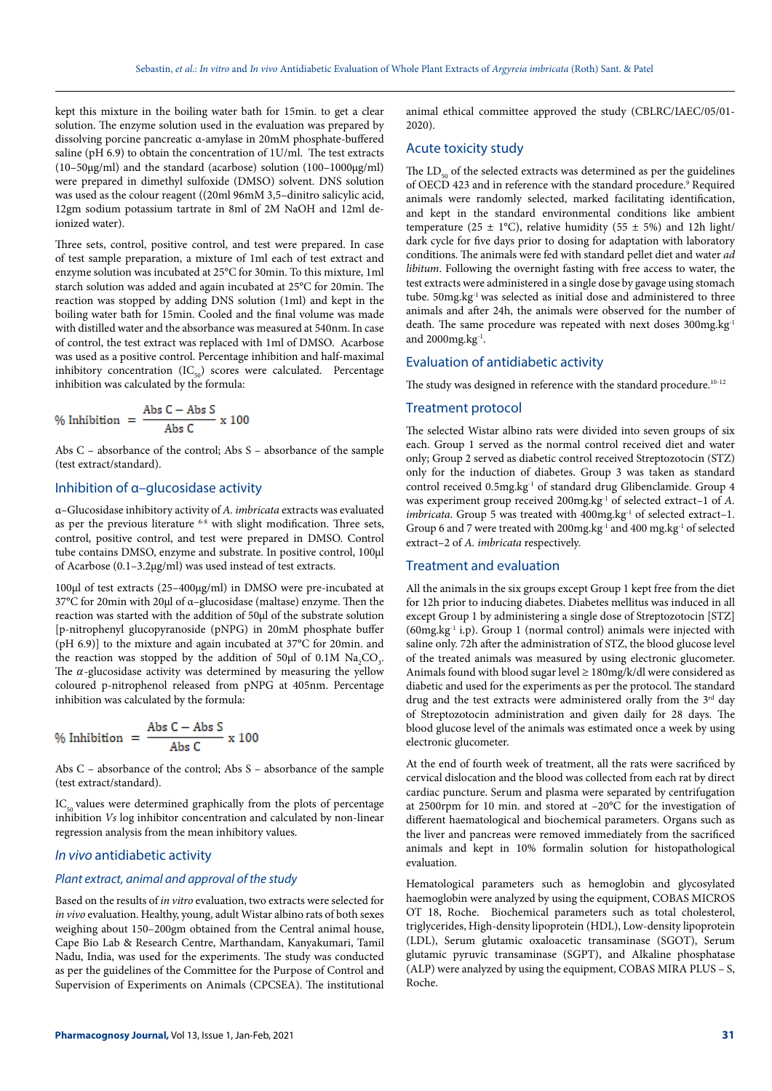kept this mixture in the boiling water bath for 15min. to get a clear solution. The enzyme solution used in the evaluation was prepared by dissolving porcine pancreatic α-amylase in 20mM phosphate-buffered saline (pH 6.9) to obtain the concentration of 1U/ml. The test extracts (10–50 $\mu$ g/ml) and the standard (acarbose) solution (100–1000 $\mu$ g/ml) were prepared in dimethyl sulfoxide (DMSO) solvent. DNS solution was used as the colour reagent ((20ml 96mM 3,5–dinitro salicylic acid, 12gm sodium potassium tartrate in 8ml of 2M NaOH and 12ml deionized water).

Three sets, control, positive control, and test were prepared. In case of test sample preparation, a mixture of 1ml each of test extract and enzyme solution was incubated at 25°C for 30min. To this mixture, 1ml starch solution was added and again incubated at 25°C for 20min. The reaction was stopped by adding DNS solution (1ml) and kept in the boiling water bath for 15min. Cooled and the final volume was made with distilled water and the absorbance was measured at 540nm. In case of control, the test extract was replaced with 1ml of DMSO. Acarbose was used as a positive control. Percentage inhibition and half-maximal inhibitory concentration  $(IC_{50})$  scores were calculated. Percentage inhibition was calculated by the formula:

$$
\% Inhibition = \frac{\text{Abs C} - \text{Abs S}}{\text{Abs C}} \times 100
$$

Abs C – absorbance of the control; Abs S – absorbance of the sample (test extract/standard).

## Inhibition of α–glucosidase activity

α–Glucosidase inhibitory activity of *A. imbricata* extracts was evaluated as per the previous literature  $6-8$  with slight modification. Three sets, control, positive control, and test were prepared in DMSO. Control tube contains DMSO, enzyme and substrate. In positive control, 100µl of Acarbose (0.1–3.2µg/ml) was used instead of test extracts.

100µl of test extracts (25–400µg/ml) in DMSO were pre-incubated at 37°C for 20min with 20µl of α–glucosidase (maltase) enzyme. Then the reaction was started with the addition of 50µl of the substrate solution [p-nitrophenyl glucopyranoside (pNPG) in 20mM phosphate buffer (pH 6.9)] to the mixture and again incubated at 37°C for 20min. and the reaction was stopped by the addition of 50 $\mu$ l of 0.1M Na<sub>2</sub>CO<sub>3</sub>. The  $\alpha$ -glucosidase activity was determined by measuring the yellow coloured p-nitrophenol released from pNPG at 405nm. Percentage inhibition was calculated by the formula:

$$
\% Inhibition = \frac{\text{Abs C} - \text{Abs S}}{\text{Abs C}} \times 100
$$

Abs C – absorbance of the control; Abs S – absorbance of the sample (test extract/standard).

 $IC_{50}$  values were determined graphically from the plots of percentage inhibition *Vs* log inhibitor concentration and calculated by non-linear regression analysis from the mean inhibitory values.

## *In vivo* antidiabetic activity

#### *Plant extract, animal and approval of the study*

Based on the results of *in vitro* evaluation, two extracts were selected for *in vivo* evaluation. Healthy, young, adult Wistar albino rats of both sexes weighing about 150–200gm obtained from the Central animal house, Cape Bio Lab & Research Centre, Marthandam, Kanyakumari, Tamil Nadu, India, was used for the experiments. The study was conducted as per the guidelines of the Committee for the Purpose of Control and Supervision of Experiments on Animals (CPCSEA). The institutional

animal ethical committee approved the study (CBLRC/IAEC/05/01- 2020).

#### Acute toxicity study

The LD<sub>50</sub> of the selected extracts was determined as per the guidelines of OECD 423 and in reference with the standard procedure.<sup>9</sup> Required animals were randomly selected, marked facilitating identification, and kept in the standard environmental conditions like ambient temperature (25  $\pm$  1°C), relative humidity (55  $\pm$  5%) and 12h light/ dark cycle for five days prior to dosing for adaptation with laboratory conditions. The animals were fed with standard pellet diet and water *ad libitum*. Following the overnight fasting with free access to water, the test extracts were administered in a single dose by gavage using stomach tube. 50mg.kg<sup>-1</sup> was selected as initial dose and administered to three animals and after 24h, the animals were observed for the number of death. The same procedure was repeated with next doses 300mg.kg<sup>-1</sup> and  $2000$ mg.kg $^{-1}$ .

### Evaluation of antidiabetic activity

The study was designed in reference with the standard procedure.<sup>10-12</sup>

### Treatment protocol

The selected Wistar albino rats were divided into seven groups of six each. Group 1 served as the normal control received diet and water only; Group 2 served as diabetic control received Streptozotocin (STZ) only for the induction of diabetes. Group 3 was taken as standard control received 0.5mg.kg<sup>-1</sup> of standard drug Glibenclamide. Group 4 was experiment group received 200mg.kg<sup>-1</sup> of selected extract-1 of *A*. *imbricata*. Group 5 was treated with 400mg.kg<sup>-1</sup> of selected extract-1. Group 6 and 7 were treated with 200mg.kg $^{\rm 1}$  and 400 mg.kg $^{\rm 1}$  of selected extract–2 of *A. imbricata* respectively.

## Treatment and evaluation

All the animals in the six groups except Group 1 kept free from the diet for 12h prior to inducing diabetes. Diabetes mellitus was induced in all except Group 1 by administering a single dose of Streptozotocin [STZ] (60mg.kg-1 i.p). Group 1 (normal control) animals were injected with saline only. 72h after the administration of STZ, the blood glucose level of the treated animals was measured by using electronic glucometer. Animals found with blood sugar level ≥ 180mg/k/dl were considered as diabetic and used for the experiments as per the protocol. The standard drug and the test extracts were administered orally from the 3<sup>rd</sup> day of Streptozotocin administration and given daily for 28 days. The blood glucose level of the animals was estimated once a week by using electronic glucometer.

At the end of fourth week of treatment, all the rats were sacrificed by cervical dislocation and the blood was collected from each rat by direct cardiac puncture. Serum and plasma were separated by centrifugation at 2500rpm for 10 min. and stored at –20°C for the investigation of different haematological and biochemical parameters. Organs such as the liver and pancreas were removed immediately from the sacrificed animals and kept in 10% formalin solution for histopathological evaluation.

Hematological parameters such as hemoglobin and glycosylated haemoglobin were analyzed by using the equipment, COBAS MICROS OT 18, Roche. Biochemical parameters such as total cholesterol, triglycerides, High-density lipoprotein (HDL), Low-density lipoprotein (LDL), Serum glutamic oxaloacetic transaminase (SGOT), Serum glutamic pyruvic transaminase (SGPT), and Alkaline phosphatase (ALP) were analyzed by using the equipment, COBAS MIRA PLUS – S, Roche.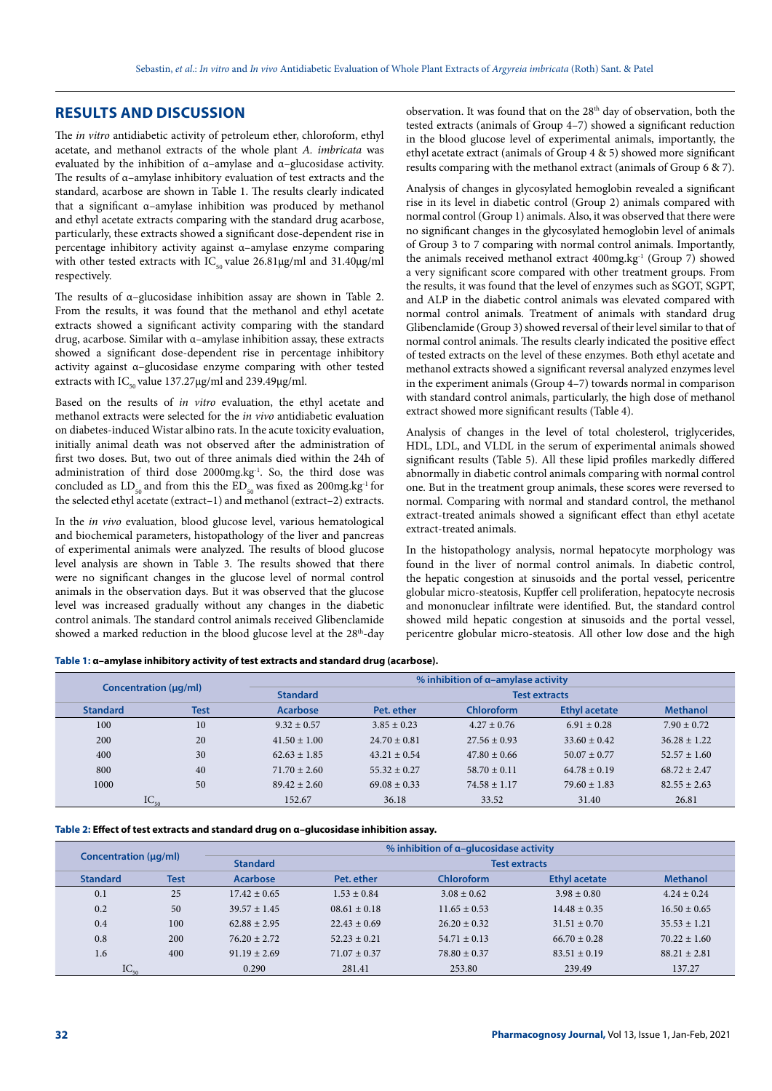## **RESULTS AND DISCUSSION**

The *in vitro* antidiabetic activity of petroleum ether, chloroform, ethyl acetate, and methanol extracts of the whole plant *A. imbricata* was evaluated by the inhibition of α–amylase and α–glucosidase activity. The results of α–amylase inhibitory evaluation of test extracts and the standard, acarbose are shown in Table 1. The results clearly indicated that a significant α–amylase inhibition was produced by methanol and ethyl acetate extracts comparing with the standard drug acarbose, particularly, these extracts showed a significant dose-dependent rise in percentage inhibitory activity against α–amylase enzyme comparing with other tested extracts with  $IC_{50}$  value 26.81µg/ml and 31.40µg/ml respectively.

The results of α–glucosidase inhibition assay are shown in Table 2. From the results, it was found that the methanol and ethyl acetate extracts showed a significant activity comparing with the standard drug, acarbose. Similar with α–amylase inhibition assay, these extracts showed a significant dose-dependent rise in percentage inhibitory activity against α–glucosidase enzyme comparing with other tested extracts with  $IC_{50}$  value 137.27µg/ml and 239.49µg/ml.

Based on the results of *in vitro* evaluation, the ethyl acetate and methanol extracts were selected for the *in vivo* antidiabetic evaluation on diabetes-induced Wistar albino rats. In the acute toxicity evaluation, initially animal death was not observed after the administration of first two doses. But, two out of three animals died within the 24h of administration of third dose 2000mg.kg<sup>-1</sup>. So, the third dose was concluded as  $LD_{50}$  and from this the  $ED_{50}$  was fixed as 200mg.kg<sup>-1</sup> for the selected ethyl acetate (extract–1) and methanol (extract–2) extracts.

In the *in vivo* evaluation, blood glucose level, various hematological and biochemical parameters, histopathology of the liver and pancreas of experimental animals were analyzed. The results of blood glucose level analysis are shown in Table 3. The results showed that there were no significant changes in the glucose level of normal control animals in the observation days. But it was observed that the glucose level was increased gradually without any changes in the diabetic control animals. The standard control animals received Glibenclamide showed a marked reduction in the blood glucose level at the 28<sup>th</sup>-day observation. It was found that on the 28<sup>th</sup> day of observation, both the tested extracts (animals of Group 4–7) showed a significant reduction in the blood glucose level of experimental animals, importantly, the ethyl acetate extract (animals of Group 4 & 5) showed more significant results comparing with the methanol extract (animals of Group 6 & 7).

Analysis of changes in glycosylated hemoglobin revealed a significant rise in its level in diabetic control (Group 2) animals compared with normal control (Group 1) animals. Also, it was observed that there were no significant changes in the glycosylated hemoglobin level of animals of Group 3 to 7 comparing with normal control animals. Importantly, the animals received methanol extract 400mg.kg-1 (Group 7) showed a very significant score compared with other treatment groups. From the results, it was found that the level of enzymes such as SGOT, SGPT, and ALP in the diabetic control animals was elevated compared with normal control animals. Treatment of animals with standard drug Glibenclamide (Group 3) showed reversal of their level similar to that of normal control animals. The results clearly indicated the positive effect of tested extracts on the level of these enzymes. Both ethyl acetate and methanol extracts showed a significant reversal analyzed enzymes level in the experiment animals (Group 4–7) towards normal in comparison with standard control animals, particularly, the high dose of methanol extract showed more significant results (Table 4).

Analysis of changes in the level of total cholesterol, triglycerides, HDL, LDL, and VLDL in the serum of experimental animals showed significant results (Table 5). All these lipid profiles markedly differed abnormally in diabetic control animals comparing with normal control one. But in the treatment group animals, these scores were reversed to normal. Comparing with normal and standard control, the methanol extract-treated animals showed a significant effect than ethyl acetate extract-treated animals.

In the histopathology analysis, normal hepatocyte morphology was found in the liver of normal control animals. In diabetic control, the hepatic congestion at sinusoids and the portal vessel, pericentre globular micro-steatosis, Kupffer cell proliferation, hepatocyte necrosis and mononuclear infiltrate were identified. But, the standard control showed mild hepatic congestion at sinusoids and the portal vessel, pericentre globular micro-steatosis. All other low dose and the high

**Table 1: α–amylase inhibitory activity of test extracts and standard drug (acarbose).**

| Concentration (µq/ml) |             |                  | $%$ inhibition of $\alpha$ -amylase activity |                  |                      |                  |  |  |
|-----------------------|-------------|------------------|----------------------------------------------|------------------|----------------------|------------------|--|--|
|                       |             | <b>Standard</b>  | <b>Test extracts</b>                         |                  |                      |                  |  |  |
| <b>Standard</b>       | <b>Test</b> | Acarbose         | Pet. ether                                   | Chloroform       | <b>Ethyl acetate</b> | <b>Methanol</b>  |  |  |
| 100                   | 10          | $9.32 \pm 0.57$  | $3.85 \pm 0.23$                              | $4.27 \pm 0.76$  | $6.91 \pm 0.28$      | $7.90 \pm 0.72$  |  |  |
| 200                   | 20          | $41.50 \pm 1.00$ | $24.70 \pm 0.81$                             | $27.56 \pm 0.93$ | $33.60 \pm 0.42$     | $36.28 \pm 1.22$ |  |  |
| 400                   | 30          | $62.63 \pm 1.85$ | $43.21 \pm 0.54$                             | $47.80 \pm 0.66$ | $50.07 \pm 0.77$     | $52.57 \pm 1.60$ |  |  |
| 800                   | 40          | $71.70 \pm 2.60$ | $55.32 \pm 0.27$                             | $58.70 \pm 0.11$ | $64.78 \pm 0.19$     | $68.72 + 2.47$   |  |  |
| 1000                  | 50          | $89.42 \pm 2.60$ | $69.08 \pm 0.33$                             | $74.58 \pm 1.17$ | $79.60 \pm 1.83$     | $82.55 + 2.63$   |  |  |
| $IC_{50}$             |             | 152.67           | 36.18                                        | 33.52            | 31.40                | 26.81            |  |  |

#### **Table 2: Effect of test extracts and standard drug on α–glucosidase inhibition assay.**

| Concentration (µg/ml) |             | $%$ inhibition of $\alpha$ -glucosidase activity |                      |                  |                      |                  |
|-----------------------|-------------|--------------------------------------------------|----------------------|------------------|----------------------|------------------|
|                       |             | <b>Standard</b>                                  | <b>Test extracts</b> |                  |                      |                  |
| <b>Standard</b>       | <b>Test</b> | <b>Acarbose</b>                                  | Pet. ether           | Chloroform       | <b>Ethyl acetate</b> | <b>Methanol</b>  |
| 0.1                   | 25          | $17.42 \pm 0.65$                                 | $1.53 \pm 0.84$      | $3.08 \pm 0.62$  | $3.98 \pm 0.80$      | $4.24 \pm 0.24$  |
| 0.2                   | 50          | $39.57 \pm 1.45$                                 | $08.61 \pm 0.18$     | $11.65 \pm 0.53$ | $14.48 \pm 0.35$     | $16.50 \pm 0.65$ |
| 0.4                   | 100         | $62.88 + 2.95$                                   | $22.43 \pm 0.69$     | $26.20 \pm 0.32$ | $31.51 \pm 0.70$     | $35.53 \pm 1.21$ |
| 0.8                   | 200         | $76.20 \pm 2.72$                                 | $52.23 + 0.21$       | $54.71 \pm 0.13$ | $66.70 \pm 0.28$     | $70.22 \pm 1.60$ |
| 1.6                   | 400         | $91.19 \pm 2.69$                                 | $71.07 \pm 0.37$     | $78.80 \pm 0.37$ | $83.51 \pm 0.19$     | $88.21 \pm 2.81$ |
| $IC_{50}$             |             | 0.290                                            | 281.41               | 253.80           | 239.49               | 137.27           |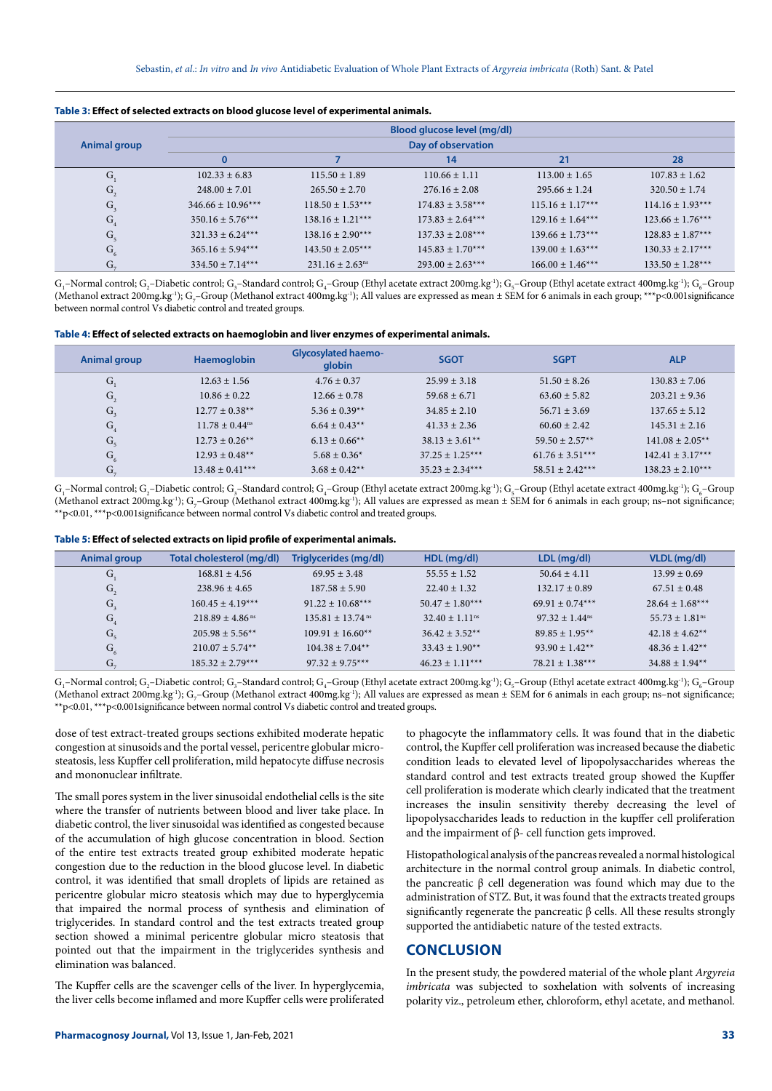|                                      |                       |                                 | Blood glucose level (mg/dl) |                      |                      |
|--------------------------------------|-----------------------|---------------------------------|-----------------------------|----------------------|----------------------|
| Animal group                         |                       |                                 | Day of observation          |                      |                      |
|                                      |                       |                                 | 14                          | 21                   | 28                   |
| G,                                   | $102.33 + 6.83$       | $115.50 \pm 1.89$               | $110.66 \pm 1.11$           | $113.00 \pm 1.65$    | $107.83 + 1.62$      |
| $\mathbf{G}_{\scriptscriptstyle{2}}$ | $248.00 \pm 7.01$     | $265.50 \pm 2.70$               | $276.16 \pm 2.08$           | $295.66 \pm 1.24$    | $320.50 \pm 1.74$    |
| $G_3$                                | $346.66 \pm 10.96***$ | $118.50 \pm 1.53***$            | $174.83 + 3.58***$          | $115.16 \pm 1.17***$ | $114.16 \pm 1.93***$ |
| ${\bf G}_4$                          | $350.16 + 5.76***$    | $138.16 \pm 1.21***$            | $173.83 + 2.64***$          | $129.16 \pm 1.64***$ | $123.66 \pm 1.76***$ |
| G <sub>5</sub>                       | $321.33 + 6.24***$    | $138.16 \pm 2.90***$            | $137.33 + 2.08***$          | $139.66 \pm 1.73***$ | $128.83 \pm 1.87***$ |
| $G_6$                                | $365.16 \pm 5.94***$  | $143.50 + 2.05***$              | $145.83 + 1.70***$          | $139.00 + 1.63***$   | $130.33 + 2.17***$   |
| $G_{\pi}$                            | $334.50 + 7.14***$    | $231.16 \pm 2.63$ <sup>ns</sup> | $293.00 + 2.63***$          | $166.00 + 1.46***$   | $133.50 \pm 1.28***$ |

 $\rm G_i$ –Normal control;  $\rm G_2$ –Diabetic control;  $\rm G_3$ –Standard control;  $\rm G_4$ –Group (Ethyl acetate extract 200mg.kg $^1$ );  $\rm G_5$ –Group (Ethyl acetate extract 400mg.kg $^1$ );  $\rm G_6$ –Group (Methanol extract 200mg.kg<sup>-1</sup>); G<sub>7</sub>–Group (Methanol extract 400mg.kg<sup>-1</sup>); All values are expressed as mean ± SEM for 6 animals in each group; \*\*\*p<0.001significance between normal control Vs diabetic control and treated groups.

**Table 4: Effect of selected extracts on haemoglobin and liver enzymes of experimental animals.**

| Animal group   | Haemoglobin                    | <b>Glycosylated haemo-</b><br>globin | <b>SGOT</b>        | <b>SGPT</b>         | <b>ALP</b>           |
|----------------|--------------------------------|--------------------------------------|--------------------|---------------------|----------------------|
| G.             | $12.63 + 1.56$                 | $4.76 \pm 0.37$                      | $25.99 \pm 3.18$   | $51.50 \pm 8.26$    | $130.83 + 7.06$      |
| G <sub>2</sub> | $10.86 \pm 0.22$               | $12.66 \pm 0.78$                     | $59.68 \pm 6.71$   | $63.60 \pm 5.82$    | $203.21 + 9.36$      |
| $G_3$          | $12.77 \pm 0.38**$             | $5.36 \pm 0.39**$                    | $34.85 \pm 2.10$   | $56.71 + 3.69$      | $137.65 \pm 5.12$    |
| G <sub>4</sub> | $11.78 \pm 0.44$ <sup>ns</sup> | $6.64 \pm 0.43**$                    | $41.33 + 2.36$     | $60.60 + 2.42$      | $145.31 \pm 2.16$    |
| G <sub>5</sub> | $12.73 + 0.26**$               | $6.13 \pm 0.66$ **                   | $38.13 \pm 3.61**$ | $59.50 + 2.57**$    | $141.08 + 2.05**$    |
| G <sub>6</sub> | $12.93 \pm 0.48**$             | $5.68 \pm 0.36^*$                    | $37.25 + 1.25***$  | $61.76 \pm 3.51***$ | $142.41 \pm 3.17***$ |
| $G_{\alpha}$   | $13.48 \pm 0.41***$            | $3.68 \pm 0.42**$                    | $35.23 + 2.34***$  | $58.51 + 2.42***$   | $138.23 + 2.10***$   |

 $\rm G_i$ –Normal control;  $\rm G_2$ –Diabetic control;  $\rm G_3$ –Standard control;  $\rm G_4$ –Group (Ethyl acetate extract 200mg.kg $^1$ );  $\rm G_5$ –Group (Ethyl acetate extract 400mg.kg $^1$ );  $\rm G_6$ –Group (Methanol extract 200mg.kg<sup>-1</sup>); G<sub>7</sub>–Group (Methanol extract 400mg.kg<sup>-1</sup>); All values are expressed as mean ± SEM for 6 animals in each group; ns–not significance; \*\*p<0.01, \*\*\*p<0.001significance between normal control Vs diabetic control and treated groups.

| Table 5: Effect of selected extracts on lipid profile of experimental animals. |  |  |
|--------------------------------------------------------------------------------|--|--|
|--------------------------------------------------------------------------------|--|--|

| Animal group   | Total cholesterol (mg/dl)     | Triglycerides (mg/dl)          | HDL (mg/dl)                    | LDL (mg/dl)                  | VLDL (mg/dl)                   |
|----------------|-------------------------------|--------------------------------|--------------------------------|------------------------------|--------------------------------|
| G.             | $168.81 \pm 4.56$             | $69.95 + 3.48$                 | $55.55 \pm 1.52$               | $50.64 \pm 4.11$             | $13.99 \pm 0.69$               |
| G <sub>2</sub> | $238.96 \pm 4.65$             | $187.58 \pm 5.90$              | $22.40 \pm 1.32$               | $132.17 \pm 0.89$            | $67.51 \pm 0.48$               |
| $G_{\rm a}$    | $160.45 \pm 4.19***$          | $91.22 \pm 10.68***$           | $50.47 \pm 1.80***$            | $69.91 \pm 0.74***$          | $28.64 \pm 1.68***$            |
| G <sub>4</sub> | $218.89 + 4.86$ <sup>ns</sup> | $135.81 + 13.74$ <sup>ns</sup> | $32.40 \pm 1.11$ <sup>ns</sup> | $97.32 + 1.44$ <sup>ns</sup> | $55.73 \pm 1.81$ <sup>ns</sup> |
| G <sub>5</sub> | $205.98 + 5.56**$             | $109.91 \pm 16.60***$          | $36.42 + 3.52**$               | $89.85 + 1.95**$             | $42.18 + 4.62**$               |
| G <sub>6</sub> | $210.07 + 5.74**$             | $104.38 \pm 7.04**$            | $33.43 \pm 1.90^{**}$          | $93.90 \pm 1.42**$           | $48.36 + 1.42**$               |
| $G_{\pi}$      | $185.32 + 2.79***$            | $97.32 + 9.75***$              | $46.23 + 1.11***$              | $78.21 \pm 1.38***$          | $34.88 \pm 1.94**$             |

 $\rm G_i$ –Normal control;  $\rm G_2$ –Diabetic control;  $\rm G_3$ –Standard control;  $\rm G_4$ –Group (Ethyl acetate extract 200mg.kg $^1$ );  $\rm G_5$ –Group (Ethyl acetate extract 400mg.kg $^1$ );  $\rm G_6$ –Group (Methanol extract 200mg.kg<sup>-1</sup>); G<sub>7</sub>–Group (Methanol extract 400mg.kg<sup>-1</sup>); All values are expressed as mean ± SEM for 6 animals in each group; ns–not significance; \*\*p<0.01, \*\*\*p<0.001significance between normal control Vs diabetic control and treated groups.

dose of test extract-treated groups sections exhibited moderate hepatic congestion at sinusoids and the portal vessel, pericentre globular microsteatosis, less Kupffer cell proliferation, mild hepatocyte diffuse necrosis and mononuclear infiltrate.

The small pores system in the liver sinusoidal endothelial cells is the site where the transfer of nutrients between blood and liver take place. In diabetic control, the liver sinusoidal was identified as congested because of the accumulation of high glucose concentration in blood. Section of the entire test extracts treated group exhibited moderate hepatic congestion due to the reduction in the blood glucose level. In diabetic control, it was identified that small droplets of lipids are retained as pericentre globular micro steatosis which may due to hyperglycemia that impaired the normal process of synthesis and elimination of triglycerides. In standard control and the test extracts treated group section showed a minimal pericentre globular micro steatosis that pointed out that the impairment in the triglycerides synthesis and elimination was balanced.

The Kupffer cells are the scavenger cells of the liver. In hyperglycemia, the liver cells become inflamed and more Kupffer cells were proliferated

to phagocyte the inflammatory cells. It was found that in the diabetic control, the Kupffer cell proliferation was increased because the diabetic condition leads to elevated level of lipopolysaccharides whereas the standard control and test extracts treated group showed the Kupffer cell proliferation is moderate which clearly indicated that the treatment increases the insulin sensitivity thereby decreasing the level of lipopolysaccharides leads to reduction in the kupffer cell proliferation and the impairment of β- cell function gets improved.

Histopathological analysis of the pancreas revealed a normal histological architecture in the normal control group animals. In diabetic control, the pancreatic β cell degeneration was found which may due to the administration of STZ. But, it was found that the extracts treated groups significantly regenerate the pancreatic  $\beta$  cells. All these results strongly supported the antidiabetic nature of the tested extracts.

## **CONCLUSION**

In the present study, the powdered material of the whole plant *Argyreia imbricata* was subjected to soxhelation with solvents of increasing polarity viz., petroleum ether, chloroform, ethyl acetate, and methanol.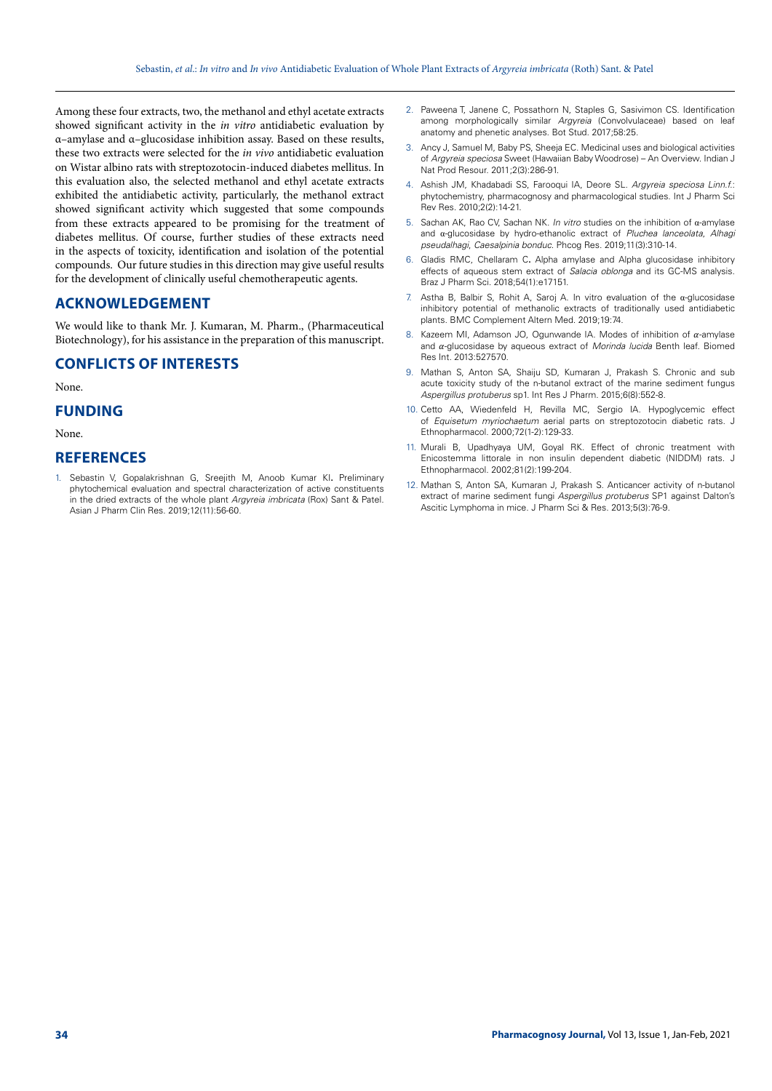Among these four extracts, two, the methanol and ethyl acetate extracts showed significant activity in the *in vitro* antidiabetic evaluation by α–amylase and α–glucosidase inhibition assay. Based on these results, these two extracts were selected for the *in vivo* antidiabetic evaluation on Wistar albino rats with streptozotocin-induced diabetes mellitus. In this evaluation also, the selected methanol and ethyl acetate extracts exhibited the antidiabetic activity, particularly, the methanol extract showed significant activity which suggested that some compounds from these extracts appeared to be promising for the treatment of diabetes mellitus. Of course, further studies of these extracts need in the aspects of toxicity, identification and isolation of the potential compounds. Our future studies in this direction may give useful results for the development of clinically useful chemotherapeutic agents.

## **ACKNOWLEDGEMENT**

We would like to thank Mr. J. Kumaran, M. Pharm., (Pharmaceutical Biotechnology), for his assistance in the preparation of this manuscript.

# **CONFLICTS OF INTERESTS**

None.

## **FUNDING**

None.

## **REFERENCES**

1. Sebastin V, Gopalakrishnan G, Sreejith M, Anoob Kumar KI**.** Preliminary phytochemical evaluation and spectral characterization of active constituents in the dried extracts of the whole plant *Argyreia imbricata* (Rox) Sant & Patel. Asian J Pharm Clin Res. 2019;12(11):56-60.

- 2. Paweena T, Janene C, Possathorn N, Staples G, Sasivimon CS. Identification among morphologically similar *Argyreia* (Convolvulaceae) based on leaf anatomy and phenetic analyses. Bot Stud. 2017;58:25.
- 3. Ancy J, Samuel M, Baby PS, Sheeja EC. Medicinal uses and biological activities of *Argyreia speciosa* Sweet (Hawaiian Baby Woodrose) – An Overview. Indian J Nat Prod Resour. 2011;2(3):286-91.
- 4. Ashish JM, Khadabadi SS, Farooqui IA, Deore SL. *Argyreia speciosa Linn.f.*: phytochemistry, pharmacognosy and pharmacological studies. Int J Pharm Sci Rev Res. 2010;2(2):14-21.
- 5. Sachan AK, Rao CV, Sachan NK. *In vitro* studies on the inhibition of α-amylase and α-glucosidase by hydro-ethanolic extract of *Pluchea lanceolata*, *Alhagi pseudalhagi*, *Caesalpinia bonduc*. Phcog Res. 2019;11(3):310-14.
- 6. Gladis RMC, Chellaram C**.** Alpha amylase and Alpha glucosidase inhibitory effects of aqueous stem extract of *Salacia oblonga* and its GC-MS analysis. Braz J Pharm Sci. 2018;54(1):e17151.
- 7. Astha B, Balbir S, Rohit A, Saroj A. In vitro evaluation of the  $\alpha$ -glucosidase inhibitory potential of methanolic extracts of traditionally used antidiabetic plants. BMC Complement Altern Med. 2019;19:74.
- Kazeem MI, Adamson JO, Ogunwande IA. Modes of inhibition of  $\alpha$ -amylase and  $\alpha$ -glucosidase by aqueous extract of *Morinda lucida* Benth leaf. Biomed Res Int. 2013:527570.
- 9. Mathan S, Anton SA, Shaiju SD, Kumaran J, Prakash S. Chronic and sub acute toxicity study of the n-butanol extract of the marine sediment fungus *Aspergillus protuberus* sp1. Int Res J Pharm. 2015;6(8):552-8.
- 10. Cetto AA, Wiedenfeld H, Revilla MC, Sergio IA. Hypoglycemic effect of *Equisetum myriochaetum* aerial parts on streptozotocin diabetic rats. J Ethnopharmacol. 2000;72(1-2):129-33.
- 11. Murali B, Upadhyaya UM, Goyal RK. Effect of chronic treatment with Enicostemma littorale in non insulin dependent diabetic (NIDDM) rats. J Ethnopharmacol. 2002;81(2):199-204.
- 12. Mathan S, Anton SA, Kumaran J, Prakash S. Anticancer activity of n-butanol extract of marine sediment fungi *Aspergillus protuberus* SP1 against Dalton's Ascitic Lymphoma in mice. J Pharm Sci & Res. 2013;5(3):76-9.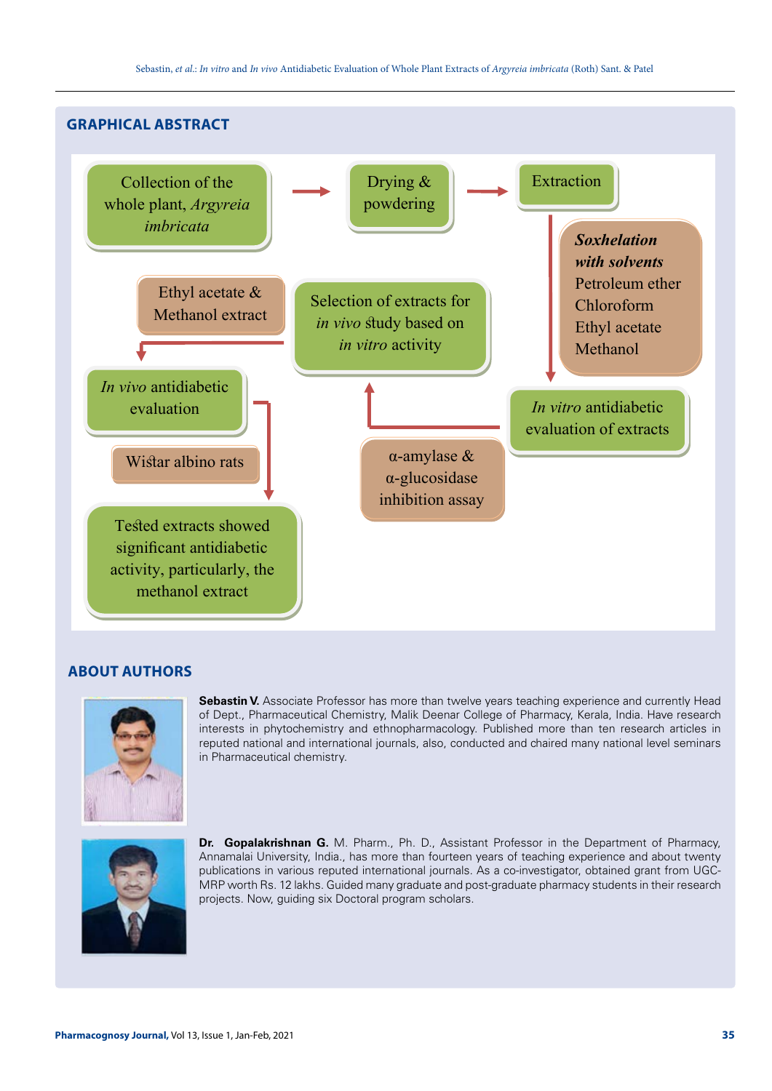

# **ABOUT AUTHORS**



**Sebastin V.** Associate Professor has more than twelve years teaching experience and currently Head of Dept., Pharmaceutical Chemistry, Malik Deenar College of Pharmacy, Kerala, India. Have research interests in phytochemistry and ethnopharmacology. Published more than ten research articles in reputed national and international journals, also, conducted and chaired many national level seminars in Pharmaceutical chemistry.



**Dr. Gopalakrishnan G.** M. Pharm., Ph. D., Assistant Professor in the Department of Pharmacy, Annamalai University, India., has more than fourteen years of teaching experience and about twenty publications in various reputed international journals. As a co-investigator, obtained grant from UGC-MRP worth Rs. 12 lakhs. Guided many graduate and post-graduate pharmacy students in their research projects. Now, guiding six Doctoral program scholars.